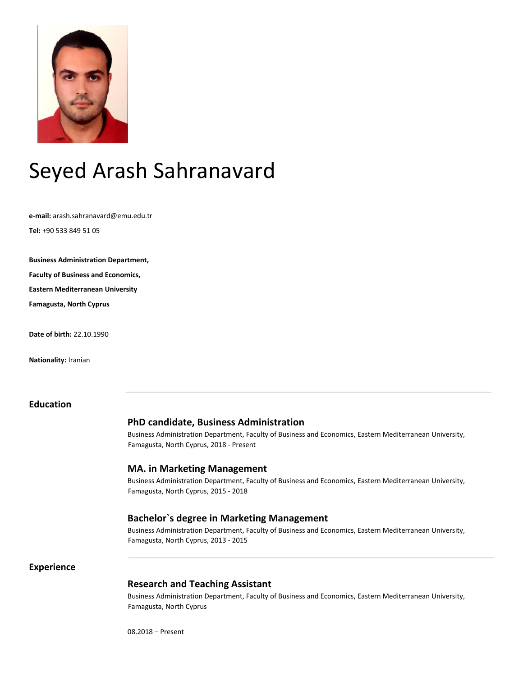

# Seyed Arash Sahranavard

**e-mail:** arash.sahranavard@emu.edu.tr

**Tel:** +90 533 849 51 05

**Business Administration Department,**

**Faculty of Business and Economics,** 

**Eastern Mediterranean University**

**Famagusta, North Cyprus** 

**Date of birth:** 22.10.1990

**Nationality:** Iranian

## **Education**

# **PhD candidate, Business Administration**

Business Administration Department, Faculty of Business and Economics, Eastern Mediterranean University, Famagusta, North Cyprus, 2018 - Present

#### **MA. in Marketing Management**

Business Administration Department, Faculty of Business and Economics, Eastern Mediterranean University, Famagusta, North Cyprus, 2015 - 2018

#### **Bachelor`s degree in Marketing Management**

Business Administration Department, Faculty of Business and Economics, Eastern Mediterranean University, Famagusta, North Cyprus, 2013 - 2015

#### **Experience**

### **Research and Teaching Assistant**

Business Administration Department, Faculty of Business and Economics, Eastern Mediterranean University, Famagusta, North Cyprus